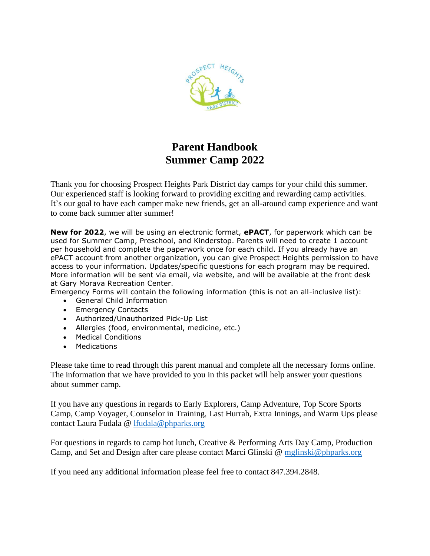

# **Parent Handbook Summer Camp 2022**

Thank you for choosing Prospect Heights Park District day camps for your child this summer. Our experienced staff is looking forward to providing exciting and rewarding camp activities. It's our goal to have each camper make new friends, get an all-around camp experience and want to come back summer after summer!

**New for 2022**, we will be using an electronic format, **ePACT**, for paperwork which can be used for Summer Camp, Preschool, and Kinderstop. Parents will need to create 1 account per household and complete the paperwork once for each child. If you already have an ePACT account from another organization, you can give Prospect Heights permission to have access to your information. Updates/specific questions for each program may be required. More information will be sent via email, via website, and will be available at the front desk at Gary Morava Recreation Center.

Emergency Forms will contain the following information (this is not an all-inclusive list):

- General Child Information
- Emergency Contacts
- Authorized/Unauthorized Pick-Up List
- Allergies (food, environmental, medicine, etc.)
- Medical Conditions
- Medications

Please take time to read through this parent manual and complete all the necessary forms online. The information that we have provided to you in this packet will help answer your questions about summer camp.

If you have any questions in regards to Early Explorers, Camp Adventure, Top Score Sports Camp, Camp Voyager, Counselor in Training, Last Hurrah, Extra Innings, and Warm Ups please contact Laura Fudala @ [lfudala@phparks.org](mailto:lfudala@phparks.org)

For questions in regards to camp hot lunch, Creative & Performing Arts Day Camp, Production Camp, and Set and Design after care please contact Marci Glinski @ [mglinski@phparks.org](mailto:mglinski@phparks.org)

If you need any additional information please feel free to contact 847.394.2848.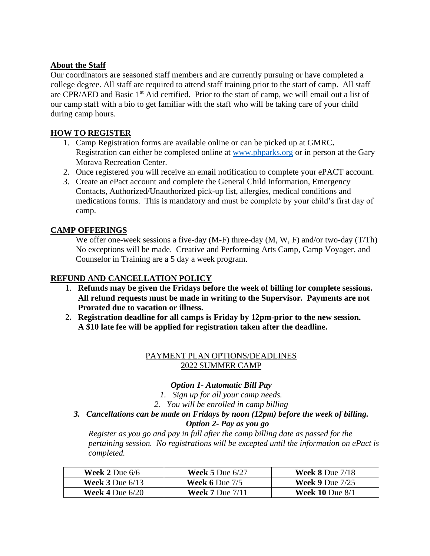## **About the Staff**

Our coordinators are seasoned staff members and are currently pursuing or have completed a college degree. All staff are required to attend staff training prior to the start of camp. All staff are CPR/AED and Basic 1<sup>st</sup> Aid certified. Prior to the start of camp, we will email out a list of our camp staff with a bio to get familiar with the staff who will be taking care of your child during camp hours.

# **HOW TO REGISTER**

- 1. Camp Registration forms are available online or can be picked up at GMRC**.**  Registration can either be completed online at [www.phparks.org](http://www.phparks.org/) or in person at the Gary Morava Recreation Center.
- 2. Once registered you will receive an email notification to complete your ePACT account.
- 3. Create an ePact account and complete the General Child Information, Emergency Contacts, Authorized/Unauthorized pick-up list, allergies, medical conditions and medications forms. This is mandatory and must be complete by your child's first day of camp.

# **CAMP OFFERINGS**

We offer one-week sessions a five-day (M-F) three-day (M, W, F) and/or two-day (T/Th) No exceptions will be made. Creative and Performing Arts Camp, Camp Voyager, and Counselor in Training are a 5 day a week program.

## **REFUND AND CANCELLATION POLICY**

- 1. **Refunds may be given the Fridays before the week of billing for complete sessions. All refund requests must be made in writing to the Supervisor. Payments are not Prorated due to vacation or illness.**
- 2**. Registration deadline for all camps is Friday by 12pm-prior to the new session. A \$10 late fee will be applied for registration taken after the deadline.**

# PAYMENT PLAN OPTIONS/DEADLINES 2022 SUMMER CAMP

#### *Option 1- Automatic Bill Pay*

*1. Sign up for all your camp needs.*

*2. You will be enrolled in camp billing*

*3. Cancellations can be made on Fridays by noon (12pm) before the week of billing. Option 2- Pay as you go*

*Register as you go and pay in full after the camp billing date as passed for the pertaining session. No registrations will be excepted until the information on ePact is completed.* 

| <b>Week 2 Due 6/6</b>               | <b>Week 5 Due <math>6/27</math></b> | <b>Week 8 Due</b> $7/18$ |
|-------------------------------------|-------------------------------------|--------------------------|
| <b>Week 3</b> Due $6/13$            | <b>Week 6</b> Due $7/5$             | <b>Week 9 Due</b> $7/25$ |
| <b>Week 4 Due <math>6/20</math></b> | <b>Week 7</b> Due $7/11$            | <b>Week 10</b> Due $8/1$ |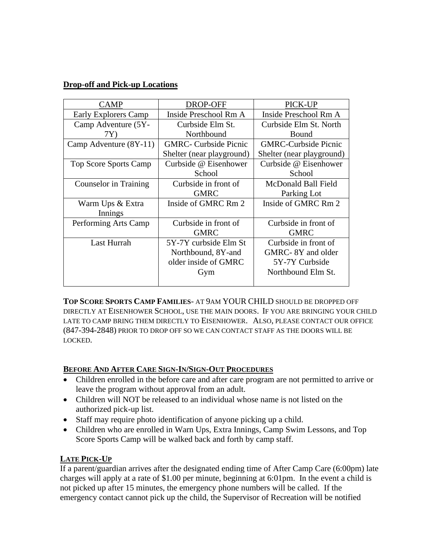## **Drop-off and Pick-up Locations**

| <b>CAMP</b>            | DROP-OFF                     | PICK-UP                     |
|------------------------|------------------------------|-----------------------------|
| Early Explorers Camp   | Inside Preschool Rm A        | Inside Preschool Rm A       |
| Camp Adventure (5Y-    | Curbside Elm St.             | Curbside Elm St. North      |
| 7Y)                    | Northbound                   | Bound                       |
| Camp Adventure (8Y-11) | <b>GMRC-</b> Curbside Picnic | <b>GMRC-Curbside Picnic</b> |
|                        | Shelter (near playground)    | Shelter (near playground)   |
| Top Score Sports Camp  | Curbside @ Eisenhower        | Curbside @ Eisenhower       |
|                        | School                       | School                      |
| Counselor in Training  | Curbside in front of         | McDonald Ball Field         |
|                        | <b>GMRC</b>                  | Parking Lot                 |
| Warm Ups & Extra       | Inside of GMRC Rm 2          | Inside of GMRC Rm 2         |
| Innings                |                              |                             |
| Performing Arts Camp   | Curbside in front of         | Curbside in front of        |
|                        | <b>GMRC</b>                  | <b>GMRC</b>                 |
| Last Hurrah            | 5Y-7Y curbside Elm St        | Curbside in front of        |
|                        | Northbound, 8Y-and           | GMRC-8Y and older           |
|                        | older inside of GMRC         | 5Y-7Y Curbside              |
|                        | Gym                          | Northbound Elm St.          |
|                        |                              |                             |

**TOP SCORE SPORTS CAMP FAMILIES**- AT 9AM YOUR CHILD SHOULD BE DROPPED OFF DIRECTLY AT EISENHOWER SCHOOL, USE THE MAIN DOORS. IF YOU ARE BRINGING YOUR CHILD LATE TO CAMP BRING THEM DIRECTLY TO EISENHOWER. ALSO, PLEASE CONTACT OUR OFFICE (847-394-2848) PRIOR TO DROP OFF SO WE CAN CONTACT STAFF AS THE DOORS WILL BE LOCKED.

#### **BEFORE AND AFTER CARE SIGN-IN/SIGN-OUT PROCEDURES**

- Children enrolled in the before care and after care program are not permitted to arrive or leave the program without approval from an adult.
- Children will NOT be released to an individual whose name is not listed on the authorized pick-up list.
- Staff may require photo identification of anyone picking up a child.
- Children who are enrolled in Warn Ups, Extra Innings, Camp Swim Lessons, and Top Score Sports Camp will be walked back and forth by camp staff.

# **LATE PICK-UP**

If a parent/guardian arrives after the designated ending time of After Camp Care (6:00pm) late charges will apply at a rate of \$1.00 per minute, beginning at 6:01pm. In the event a child is not picked up after 15 minutes, the emergency phone numbers will be called. If the emergency contact cannot pick up the child, the Supervisor of Recreation will be notified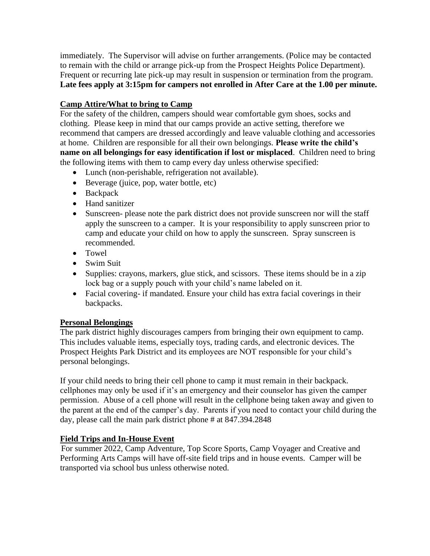immediately. The Supervisor will advise on further arrangements. (Police may be contacted to remain with the child or arrange pick-up from the Prospect Heights Police Department). Frequent or recurring late pick-up may result in suspension or termination from the program. **Late fees apply at 3:15pm for campers not enrolled in After Care at the 1.00 per minute.**

# **Camp Attire/What to bring to Camp**

For the safety of the children, campers should wear comfortable gym shoes, socks and clothing. Please keep in mind that our camps provide an active setting, therefore we recommend that campers are dressed accordingly and leave valuable clothing and accessories at home. Children are responsible for all their own belongings. **Please write the child's name on all belongings for easy identification if lost or misplaced**. Children need to bring the following items with them to camp every day unless otherwise specified:

- Lunch (non-perishable, refrigeration not available).
- Beverage (juice, pop, water bottle, etc)
- Backpack
- Hand sanitizer
- Sunscreen- please note the park district does not provide sunscreen nor will the staff apply the sunscreen to a camper. It is your responsibility to apply sunscreen prior to camp and educate your child on how to apply the sunscreen. Spray sunscreen is recommended.
- Towel
- Swim Suit
- Supplies: crayons, markers, glue stick, and scissors. These items should be in a zip lock bag or a supply pouch with your child's name labeled on it.
- Facial covering- if mandated. Ensure your child has extra facial coverings in their backpacks.

#### **Personal Belongings**

The park district highly discourages campers from bringing their own equipment to camp. This includes valuable items, especially toys, trading cards, and electronic devices. The Prospect Heights Park District and its employees are NOT responsible for your child's personal belongings.

If your child needs to bring their cell phone to camp it must remain in their backpack. cellphones may only be used if it's an emergency and their counselor has given the camper permission. Abuse of a cell phone will result in the cellphone being taken away and given to the parent at the end of the camper's day. Parents if you need to contact your child during the day, please call the main park district phone # at 847.394.2848

# **Field Trips and In-House Event**

For summer 2022, Camp Adventure, Top Score Sports, Camp Voyager and Creative and Performing Arts Camps will have off-site field trips and in house events. Camper will be transported via school bus unless otherwise noted.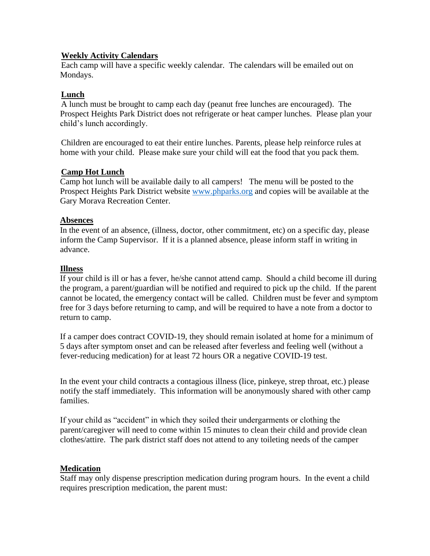#### **Weekly Activity Calendars**

Each camp will have a specific weekly calendar. The calendars will be emailed out on Mondays.

#### **Lunch**

A lunch must be brought to camp each day (peanut free lunches are encouraged). The Prospect Heights Park District does not refrigerate or heat camper lunches. Please plan your child's lunch accordingly.

Children are encouraged to eat their entire lunches. Parents, please help reinforce rules at home with your child. Please make sure your child will eat the food that you pack them.

#### **Camp Hot Lunch**

Camp hot lunch will be available daily to all campers! The menu will be posted to the Prospect Heights Park District website [www.phparks.org](http://www.phparks.org/) and copies will be available at the Gary Morava Recreation Center.

#### **Absences**

In the event of an absence, (illness, doctor, other commitment, etc) on a specific day, please inform the Camp Supervisor. If it is a planned absence, please inform staff in writing in advance.

#### **Illness**

If your child is ill or has a fever, he/she cannot attend camp. Should a child become ill during the program, a parent/guardian will be notified and required to pick up the child. If the parent cannot be located, the emergency contact will be called. Children must be fever and symptom free for 3 days before returning to camp, and will be required to have a note from a doctor to return to camp.

If a camper does contract COVID-19, they should remain isolated at home for a minimum of 5 days after symptom onset and can be released after feverless and feeling well (without a fever-reducing medication) for at least 72 hours OR a negative COVID-19 test.

In the event your child contracts a contagious illness (lice, pinkeye, strep throat, etc.) please notify the staff immediately. This information will be anonymously shared with other camp families.

If your child as "accident" in which they soiled their undergarments or clothing the parent/caregiver will need to come within 15 minutes to clean their child and provide clean clothes/attire. The park district staff does not attend to any toileting needs of the camper

#### **Medication**

Staff may only dispense prescription medication during program hours. In the event a child requires prescription medication, the parent must: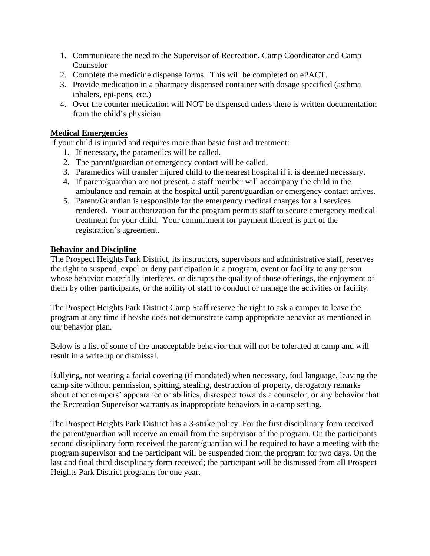- 1. Communicate the need to the Supervisor of Recreation, Camp Coordinator and Camp Counselor
- 2. Complete the medicine dispense forms. This will be completed on ePACT.
- 3. Provide medication in a pharmacy dispensed container with dosage specified (asthma inhalers, epi-pens, etc.)
- 4. Over the counter medication will NOT be dispensed unless there is written documentation from the child's physician.

#### **Medical Emergencies**

If your child is injured and requires more than basic first aid treatment:

- 1. If necessary, the paramedics will be called.
- 2. The parent/guardian or emergency contact will be called.
- 3. Paramedics will transfer injured child to the nearest hospital if it is deemed necessary.
- 4. If parent/guardian are not present, a staff member will accompany the child in the ambulance and remain at the hospital until parent/guardian or emergency contact arrives.
- 5. Parent/Guardian is responsible for the emergency medical charges for all services rendered. Your authorization for the program permits staff to secure emergency medical treatment for your child. Your commitment for payment thereof is part of the registration's agreement.

#### **Behavior and Discipline**

The Prospect Heights Park District, its instructors, supervisors and administrative staff, reserves the right to suspend, expel or deny participation in a program, event or facility to any person whose behavior materially interferes, or disrupts the quality of those offerings, the enjoyment of them by other participants, or the ability of staff to conduct or manage the activities or facility.

The Prospect Heights Park District Camp Staff reserve the right to ask a camper to leave the program at any time if he/she does not demonstrate camp appropriate behavior as mentioned in our behavior plan.

Below is a list of some of the unacceptable behavior that will not be tolerated at camp and will result in a write up or dismissal.

Bullying, not wearing a facial covering (if mandated) when necessary, foul language, leaving the camp site without permission, spitting, stealing, destruction of property, derogatory remarks about other campers' appearance or abilities, disrespect towards a counselor, or any behavior that the Recreation Supervisor warrants as inappropriate behaviors in a camp setting.

The Prospect Heights Park District has a 3-strike policy. For the first disciplinary form received the parent/guardian will receive an email from the supervisor of the program. On the participants second disciplinary form received the parent/guardian will be required to have a meeting with the program supervisor and the participant will be suspended from the program for two days. On the last and final third disciplinary form received; the participant will be dismissed from all Prospect Heights Park District programs for one year.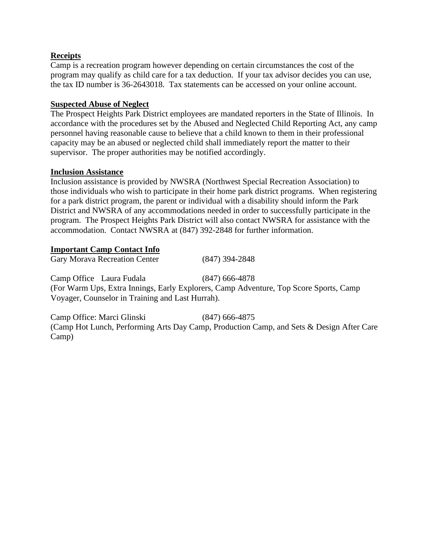#### **Receipts**

Camp is a recreation program however depending on certain circumstances the cost of the program may qualify as child care for a tax deduction. If your tax advisor decides you can use, the tax ID number is 36-2643018. Tax statements can be accessed on your online account.

#### **Suspected Abuse of Neglect**

The Prospect Heights Park District employees are mandated reporters in the State of Illinois. In accordance with the procedures set by the Abused and Neglected Child Reporting Act, any camp personnel having reasonable cause to believe that a child known to them in their professional capacity may be an abused or neglected child shall immediately report the matter to their supervisor. The proper authorities may be notified accordingly.

#### **Inclusion Assistance**

Inclusion assistance is provided by NWSRA (Northwest Special Recreation Association) to those individuals who wish to participate in their home park district programs. When registering for a park district program, the parent or individual with a disability should inform the Park District and NWSRA of any accommodations needed in order to successfully participate in the program. The Prospect Heights Park District will also contact NWSRA for assistance with the accommodation. Contact NWSRA at (847) 392-2848 for further information.

#### **Important Camp Contact Info**

Gary Morava Recreation Center (847) 394-2848 Camp Office Laura Fudala (847) 666-4878 (For Warm Ups, Extra Innings, Early Explorers, Camp Adventure, Top Score Sports, Camp Voyager, Counselor in Training and Last Hurrah).

Camp Office: Marci Glinski (847) 666-4875 (Camp Hot Lunch, Performing Arts Day Camp, Production Camp, and Sets & Design After Care Camp)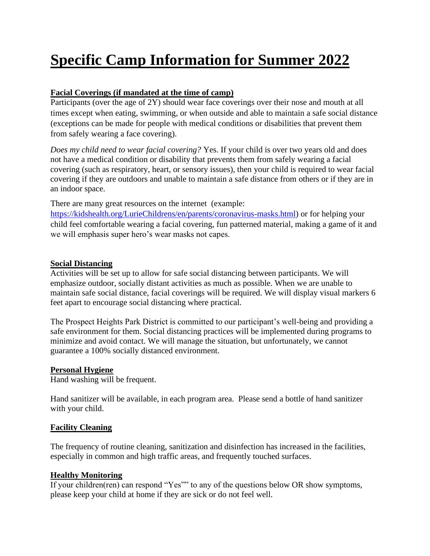# **Specific Camp Information for Summer 2022**

# **Facial Coverings (if mandated at the time of camp)**

Participants (over the age of 2Y) should wear face coverings over their nose and mouth at all times except when eating, swimming, or when outside and able to maintain a safe social distance (exceptions can be made for people with medical conditions or disabilities that prevent them from safely wearing a face covering).

*Does my child need to wear facial covering?* Yes. If your child is over two years old and does not have a medical condition or disability that prevents them from safely wearing a facial covering (such as respiratory, heart, or sensory issues), then your child is required to wear facial covering if they are outdoors and unable to maintain a safe distance from others or if they are in an indoor space.

There are many great resources on the internet (example:

[https://kidshealth.org/LurieChildrens/en/parents/coronavirus-masks.html\)](https://kidshealth.org/LurieChildrens/en/parents/coronavirus-masks.html) or for helping your child feel comfortable wearing a facial covering, fun patterned material, making a game of it and we will emphasis super hero's wear masks not capes.

#### **Social Distancing**

Activities will be set up to allow for safe social distancing between participants. We will emphasize outdoor, socially distant activities as much as possible. When we are unable to maintain safe social distance, facial coverings will be required. We will display visual markers 6 feet apart to encourage social distancing where practical.

The Prospect Heights Park District is committed to our participant's well-being and providing a safe environment for them. Social distancing practices will be implemented during programs to minimize and avoid contact. We will manage the situation, but unfortunately, we cannot guarantee a 100% socially distanced environment.

#### **Personal Hygiene**

Hand washing will be frequent.

Hand sanitizer will be available, in each program area. Please send a bottle of hand sanitizer with your child.

#### **Facility Cleaning**

The frequency of routine cleaning, sanitization and disinfection has increased in the facilities, especially in common and high traffic areas, and frequently touched surfaces.

#### **Healthy Monitoring**

If your children(ren) can respond "Yes"" to any of the questions below OR show symptoms, please keep your child at home if they are sick or do not feel well.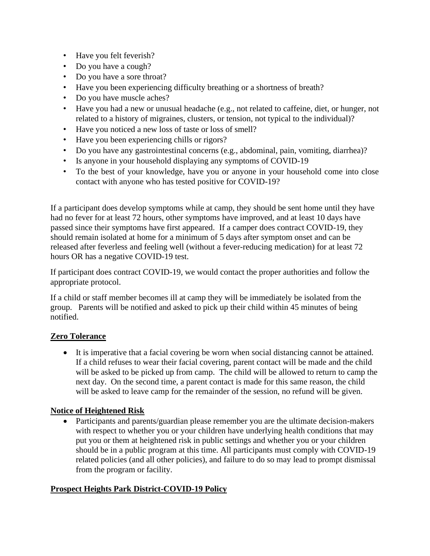- Have you felt feverish?
- Do you have a cough?
- Do you have a sore throat?
- Have you been experiencing difficulty breathing or a shortness of breath?
- Do you have muscle aches?
- Have you had a new or unusual headache (e.g., not related to caffeine, diet, or hunger, not related to a history of migraines, clusters, or tension, not typical to the individual)?
- Have you noticed a new loss of taste or loss of smell?
- Have you been experiencing chills or rigors?
- Do you have any gastrointestinal concerns (e.g., abdominal, pain, vomiting, diarrhea)?
- Is anyone in your household displaying any symptoms of COVID-19
- To the best of your knowledge, have you or anyone in your household come into close contact with anyone who has tested positive for COVID-19?

If a participant does develop symptoms while at camp, they should be sent home until they have had no fever for at least 72 hours, other symptoms have improved, and at least 10 days have passed since their symptoms have first appeared. If a camper does contract COVID-19, they should remain isolated at home for a minimum of 5 days after symptom onset and can be released after feverless and feeling well (without a fever-reducing medication) for at least 72 hours OR has a negative COVID-19 test.

If participant does contract COVID-19, we would contact the proper authorities and follow the appropriate protocol.

If a child or staff member becomes ill at camp they will be immediately be isolated from the group. Parents will be notified and asked to pick up their child within 45 minutes of being notified.

#### **Zero Tolerance**

• It is imperative that a facial covering be worn when social distancing cannot be attained. If a child refuses to wear their facial covering, parent contact will be made and the child will be asked to be picked up from camp. The child will be allowed to return to camp the next day. On the second time, a parent contact is made for this same reason, the child will be asked to leave camp for the remainder of the session, no refund will be given.

#### **Notice of Heightened Risk**

• Participants and parents/guardian please remember you are the ultimate decision-makers with respect to whether you or your children have underlying health conditions that may put you or them at heightened risk in public settings and whether you or your children should be in a public program at this time. All participants must comply with COVID-19 related policies (and all other policies), and failure to do so may lead to prompt dismissal from the program or facility.

#### **Prospect Heights Park District-COVID-19 Policy**